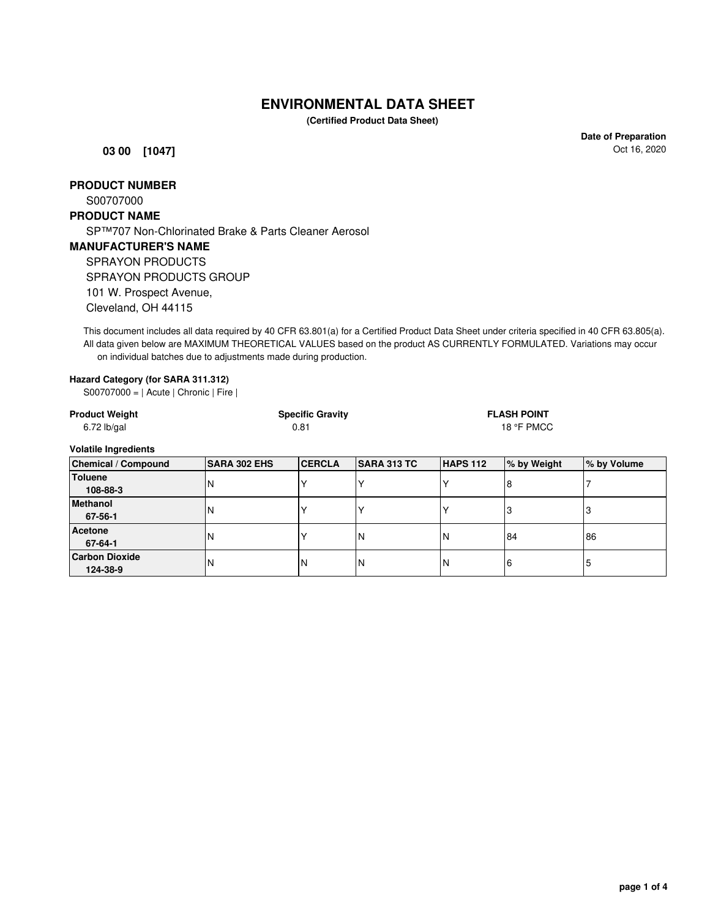## **ENVIRONMENTAL DATA SHEET**

**(Certified Product Data Sheet)**

**03 00 [1047]**

**Date of Preparation** Oct 16, 2020

### **PRODUCT NUMBER**

S00707000

### **PRODUCT NAME**

**Carbon Dioxide**

SP™707 Non-Chlorinated Brake & Parts Cleaner Aerosol

### **MANUFACTURER'S NAME**

SPRAYON PRODUCTS SPRAYON PRODUCTS GROUP

101 W. Prospect Avenue,

Cleveland, OH 44115

This document includes all data required by 40 CFR 63.801(a) for a Certified Product Data Sheet under criteria specified in 40 CFR 63.805(a). All data given below are MAXIMUM THEORETICAL VALUES based on the product AS CURRENTLY FORMULATED. Variations may occur on individual batches due to adjustments made during production.

#### **Hazard Category (for SARA 311.312)**

S00707000 = | Acute | Chronic | Fire |

| <b>Product Weight</b><br>$6.72$ lb/gal | <b>Specific Gravity</b><br>0.81 |               |               | <b>FLASH POINT</b><br>18 °F PMCC |               |               |
|----------------------------------------|---------------------------------|---------------|---------------|----------------------------------|---------------|---------------|
| <b>Volatile Ingredients</b>            |                                 |               |               |                                  |               |               |
| <b>Chemical / Compound</b>             | <b>SARA 302 EHS</b>             | <b>CERCLA</b> | SARA 313 TC   | <b>HAPS 112</b>                  | % by Weight   | % by Volume   |
| <b>Toluene</b><br>108-88-3             | N                               |               |               |                                  | 8             |               |
| <b>Methanol</b><br>67-56-1             | N                               |               |               | Υ                                | 3             |               |
| <b>Acetone</b>                         | .                               | . .           | $\sim$ $\sim$ | $\ddot{\phantom{1}}$             | $\sim$ $\sim$ | $\sim$ $\sim$ |

**67-64-1** N N X N N 84 86

**124-38-9** N N N N 6 5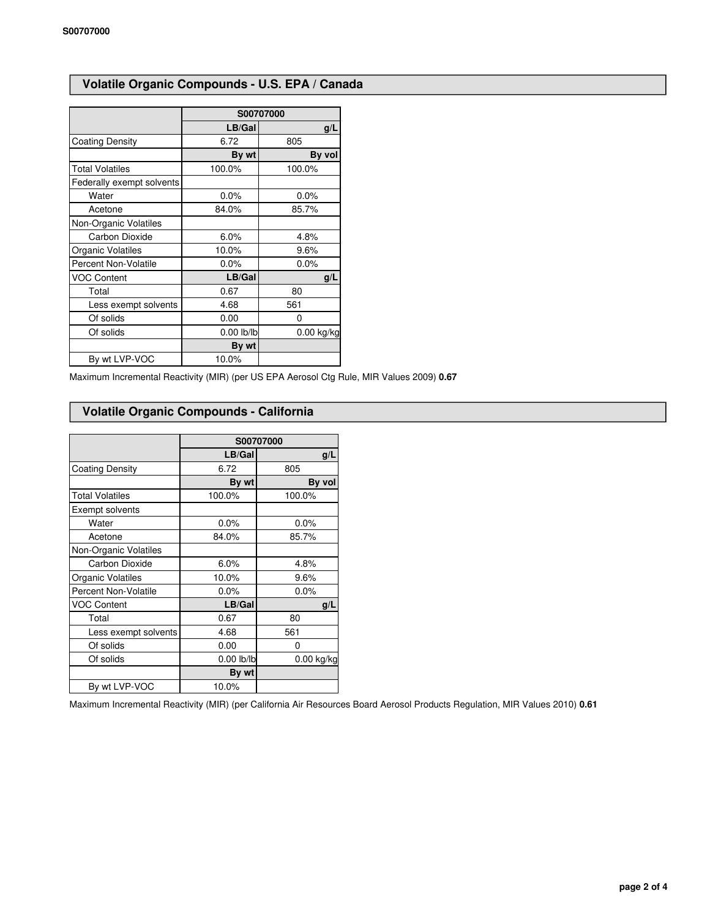## **Volatile Organic Compounds - U.S. EPA / Canada**

|                             | S00707000       |            |  |
|-----------------------------|-----------------|------------|--|
|                             | LB/Gal          | g/L        |  |
| <b>Coating Density</b>      | 6.72            | 805        |  |
|                             | By wt           | By vol     |  |
| <b>Total Volatiles</b>      | 100.0%          | 100.0%     |  |
| Federally exempt solvents   |                 |            |  |
| Water                       | $0.0\%$         | $0.0\%$    |  |
| Acetone                     | 84.0%           | 85.7%      |  |
| Non-Organic Volatiles       |                 |            |  |
| Carbon Dioxide              | 6.0%            | 4.8%       |  |
| Organic Volatiles           | 10.0%           | 9.6%       |  |
| <b>Percent Non-Volatile</b> | 0.0%            | 0.0%       |  |
| <b>VOC Content</b>          | LB/Gal          | g/L        |  |
| Total                       | 0.67            | 80         |  |
| Less exempt solvents        | 4.68            | 561        |  |
| Of solids                   | 0.00            | 0          |  |
| Of solids                   | $0.00$ $ b/ b $ | 0.00 kg/kg |  |
|                             | By wt           |            |  |
| By wt LVP-VOC               | 10.0%           |            |  |

Maximum Incremental Reactivity (MIR) (per US EPA Aerosol Ctg Rule, MIR Values 2009) **0.67**

#### **Volatile Organic Compounds - California**

|                             | S00707000    |            |  |
|-----------------------------|--------------|------------|--|
|                             | LB/Gal       | g/L        |  |
| <b>Coating Density</b>      | 6.72         | 805        |  |
|                             | By wt        | By vol     |  |
| <b>Total Volatiles</b>      | 100.0%       | 100.0%     |  |
| Exempt solvents             |              |            |  |
| Water                       | 0.0%         | 0.0%       |  |
| Acetone                     | 84.0%        | 85.7%      |  |
| Non-Organic Volatiles       |              |            |  |
| Carbon Dioxide              | 6.0%         | 4.8%       |  |
| Organic Volatiles           | 10.0%        | 9.6%       |  |
| <b>Percent Non-Volatile</b> | 0.0%         | 0.0%       |  |
| <b>VOC Content</b>          | LB/Gal       | g/L        |  |
| Total                       | 0.67         | 80         |  |
| Less exempt solvents        | 4.68         | 561        |  |
| Of solids                   | 0.00         | 0          |  |
| Of solids                   | $0.00$ lb/lb | 0.00 kg/kg |  |
|                             | By wt        |            |  |
| By wt LVP-VOC               | 10.0%        |            |  |

Maximum Incremental Reactivity (MIR) (per California Air Resources Board Aerosol Products Regulation, MIR Values 2010) **0.61**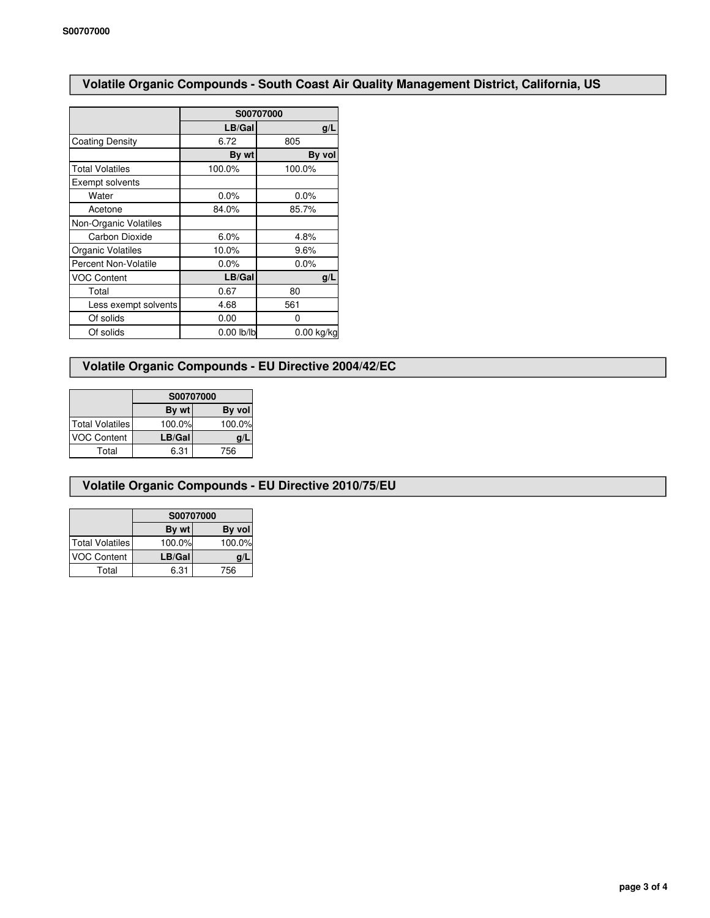## **Volatile Organic Compounds - South Coast Air Quality Management District, California, US**

|                             | S00707000  |            |  |
|-----------------------------|------------|------------|--|
|                             | LB/Gal     | g/L        |  |
| <b>Coating Density</b>      | 6.72       | 805        |  |
|                             | By wt      | By vol     |  |
| <b>Total Volatiles</b>      | 100.0%     | 100.0%     |  |
| Exempt solvents             |            |            |  |
| Water                       | 0.0%       | 0.0%       |  |
| Acetone                     | 84.0%      | 85.7%      |  |
| Non-Organic Volatiles       |            |            |  |
| Carbon Dioxide              | 6.0%       | 4.8%       |  |
| Organic Volatiles           | 10.0%      | 9.6%       |  |
| <b>Percent Non-Volatile</b> | $0.0\%$    | 0.0%       |  |
| <b>VOC Content</b>          | LB/Gal     | g/L        |  |
| Total                       | 0.67       | 80         |  |
| Less exempt solvents        | 4.68       | 561        |  |
| Of solids                   | 0.00       | 0          |  |
| Of solids                   | 0.00 lb/lb | 0.00 kg/kg |  |

## **Volatile Organic Compounds - EU Directive 2004/42/EC**

|                    | S00707000 |        |  |
|--------------------|-----------|--------|--|
|                    | By wt     | By vol |  |
| Total Volatiles    | 100.0%    | 100.0% |  |
| <b>VOC Content</b> | LB/Gal    |        |  |
| Total              | 6.31      | 756    |  |

### **Volatile Organic Compounds - EU Directive 2010/75/EU**

|                        | S00707000 |        |  |
|------------------------|-----------|--------|--|
|                        | By wt     | By vol |  |
| <b>Total Volatiles</b> | 100.0%    | 100.0% |  |
| <b>VOC Content</b>     | LB/Gal    | q/     |  |
| Total                  | 6.31      | 756    |  |